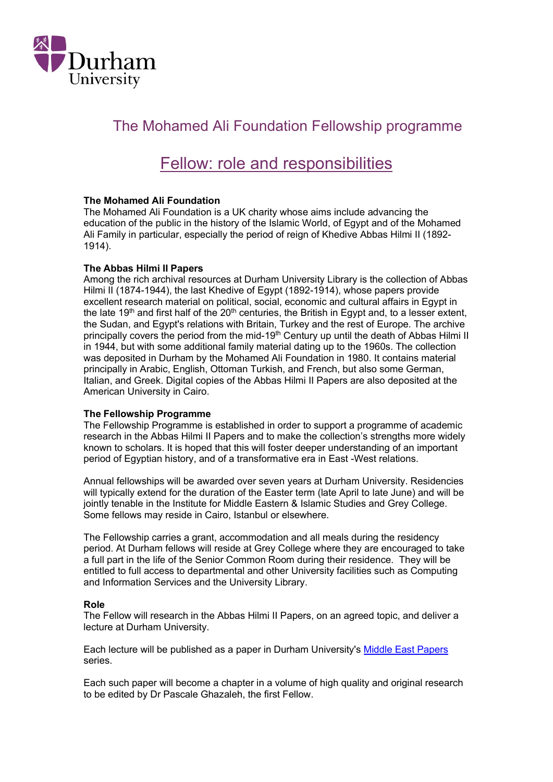

## The Mohamed Ali Foundation Fellowship programme

# Fellow: role and responsibilities

### The Mohamed Ali Foundation

The Mohamed Ali Foundation is a UK charity whose aims include advancing the education of the public in the history of the Islamic World, of Egypt and of the Mohamed Ali Family in particular, especially the period of reign of Khedive Abbas Hilmi II (1892- 1914).

#### The Abbas Hilmi II Papers

Among the rich archival resources at Durham University Library is the collection of Abbas Hilmi II (1874-1944), the last Khedive of Egypt (1892-1914), whose papers provide excellent research material on political, social, economic and cultural affairs in Egypt in the late 19<sup>th</sup> and first half of the 20<sup>th</sup> centuries, the British in Egypt and, to a lesser extent, the Sudan, and Egypt's relations with Britain, Turkey and the rest of Europe. The archive principally covers the period from the mid-19<sup>th</sup> Century up until the death of Abbas Hilmi II in 1944, but with some additional family material dating up to the 1960s. The collection was deposited in Durham by the Mohamed Ali Foundation in 1980. It contains material principally in Arabic, English, Ottoman Turkish, and French, but also some German, Italian, and Greek. Digital copies of the Abbas Hilmi II Papers are also deposited at the American University in Cairo.

#### The Fellowship Programme

The Fellowship Programme is established in order to support a programme of academic research in the Abbas Hilmi II Papers and to make the collection's strengths more widely known to scholars. It is hoped that this will foster deeper understanding of an important period of Egyptian history, and of a transformative era in East -West relations.

Annual fellowships will be awarded over seven years at Durham University. Residencies will typically extend for the duration of the Easter term (late April to late June) and will be jointly tenable in the Institute for Middle Eastern & Islamic Studies and Grey College. Some fellows may reside in Cairo, Istanbul or elsewhere.

The Fellowship carries a grant, accommodation and all meals during the residency period. At Durham fellows will reside at Grey College where they are encouraged to take a full part in the life of the Senior Common Room during their residence. They will be entitled to full access to departmental and other University facilities such as Computing and Information Services and the University Library.

#### Role

The Fellow will research in the Abbas Hilmi II Papers, on an agreed topic, and deliver a lecture at Durham University.

Each lecture will be published as a paper in Durham University's Middle East Papers series.

Each such paper will become a chapter in a volume of high quality and original research to be edited by Dr Pascale Ghazaleh, the first Fellow.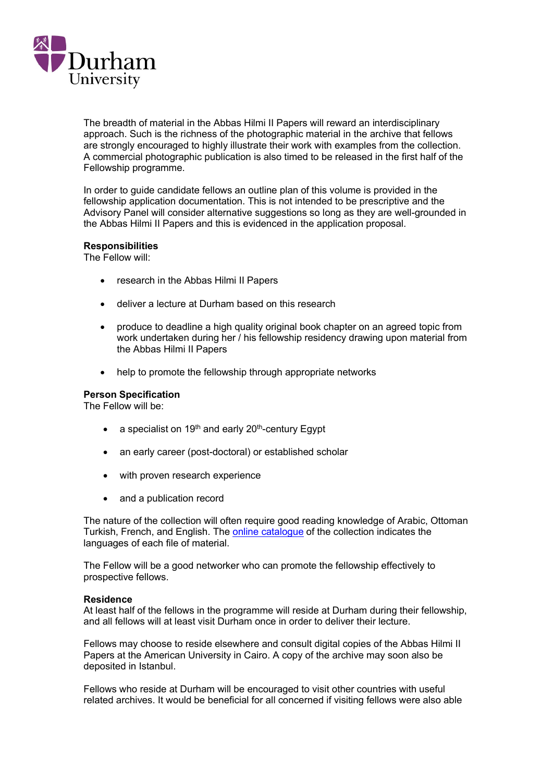

The breadth of material in the Abbas Hilmi II Papers will reward an interdisciplinary approach. Such is the richness of the photographic material in the archive that fellows are strongly encouraged to highly illustrate their work with examples from the collection. A commercial photographic publication is also timed to be released in the first half of the Fellowship programme.

In order to guide candidate fellows an outline plan of this volume is provided in the fellowship application documentation. This is not intended to be prescriptive and the Advisory Panel will consider alternative suggestions so long as they are well-grounded in the Abbas Hilmi II Papers and this is evidenced in the application proposal.

#### Responsibilities

The Fellow will:

- research in the Abbas Hilmi II Papers
- deliver a lecture at Durham based on this research
- produce to deadline a high quality original book chapter on an agreed topic from work undertaken during her / his fellowship residency drawing upon material from the Abbas Hilmi II Papers
- help to promote the fellowship through appropriate networks

## Person Specification

The Fellow will be:

- a specialist on 19<sup>th</sup> and early 20<sup>th</sup>-century Egypt
- an early career (post-doctoral) or established scholar
- with proven research experience
- and a publication record

The nature of the collection will often require good reading knowledge of Arabic, Ottoman Turkish, French, and English. The online catalogue of the collection indicates the languages of each file of material.

The Fellow will be a good networker who can promote the fellowship effectively to prospective fellows.

#### Residence

At least half of the fellows in the programme will reside at Durham during their fellowship, and all fellows will at least visit Durham once in order to deliver their lecture.

Fellows may choose to reside elsewhere and consult digital copies of the Abbas Hilmi II Papers at the American University in Cairo. A copy of the archive may soon also be deposited in Istanbul.

Fellows who reside at Durham will be encouraged to visit other countries with useful related archives. It would be beneficial for all concerned if visiting fellows were also able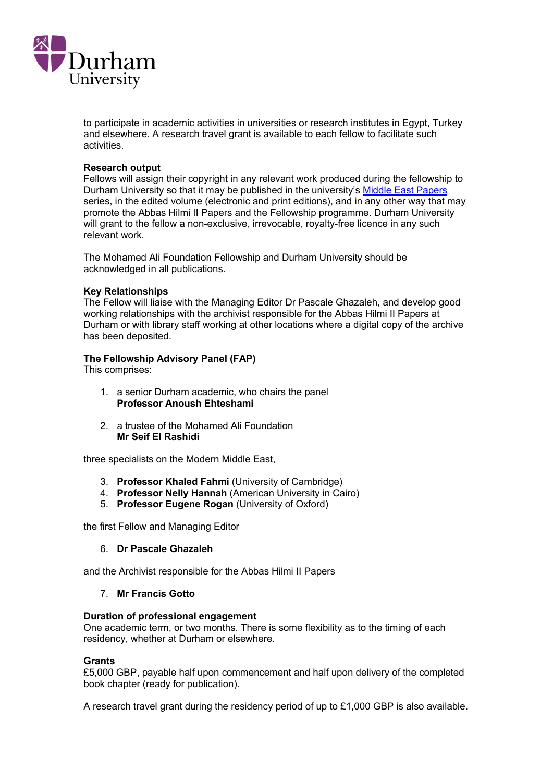

to participate in academic activities in universities or research institutes in Egypt, Turkey and elsewhere. A research travel grant is available to each fellow to facilitate such activities.

#### Research output

Fellows will assign their copyright in any relevant work produced during the fellowship to Durham University so that it may be published in the university's Middle East Papers series, in the edited volume (electronic and print editions), and in any other way that may promote the Abbas Hilmi II Papers and the Fellowship programme. Durham University will grant to the fellow a non-exclusive, irrevocable, royalty-free licence in any such relevant work.

The Mohamed Ali Foundation Fellowship and Durham University should be acknowledged in all publications.

#### Key Relationships

The Fellow will liaise with the Managing Editor Dr Pascale Ghazaleh, and develop good working relationships with the archivist responsible for the Abbas Hilmi II Papers at Durham or with library staff working at other locations where a digital copy of the archive has been deposited.

#### The Fellowship Advisory Panel (FAP)

This comprises:

- 1. a senior Durham academic, who chairs the panel Professor Anoush Ehteshami
- 2. a trustee of the Mohamed Ali Foundation Mr Seif El Rashidi

three specialists on the Modern Middle East,

- 3. Professor Khaled Fahmi (University of Cambridge)
- 4. Professor Nelly Hannah (American University in Cairo)
- 5. Professor Eugene Rogan (University of Oxford)

the first Fellow and Managing Editor

6. Dr Pascale Ghazaleh

and the Archivist responsible for the Abbas Hilmi II Papers

#### 7. Mr Francis Gotto

#### Duration of professional engagement

One academic term, or two months. There is some flexibility as to the timing of each residency, whether at Durham or elsewhere.

#### **Grants**

£5,000 GBP, payable half upon commencement and half upon delivery of the completed book chapter (ready for publication).

A research travel grant during the residency period of up to £1,000 GBP is also available.